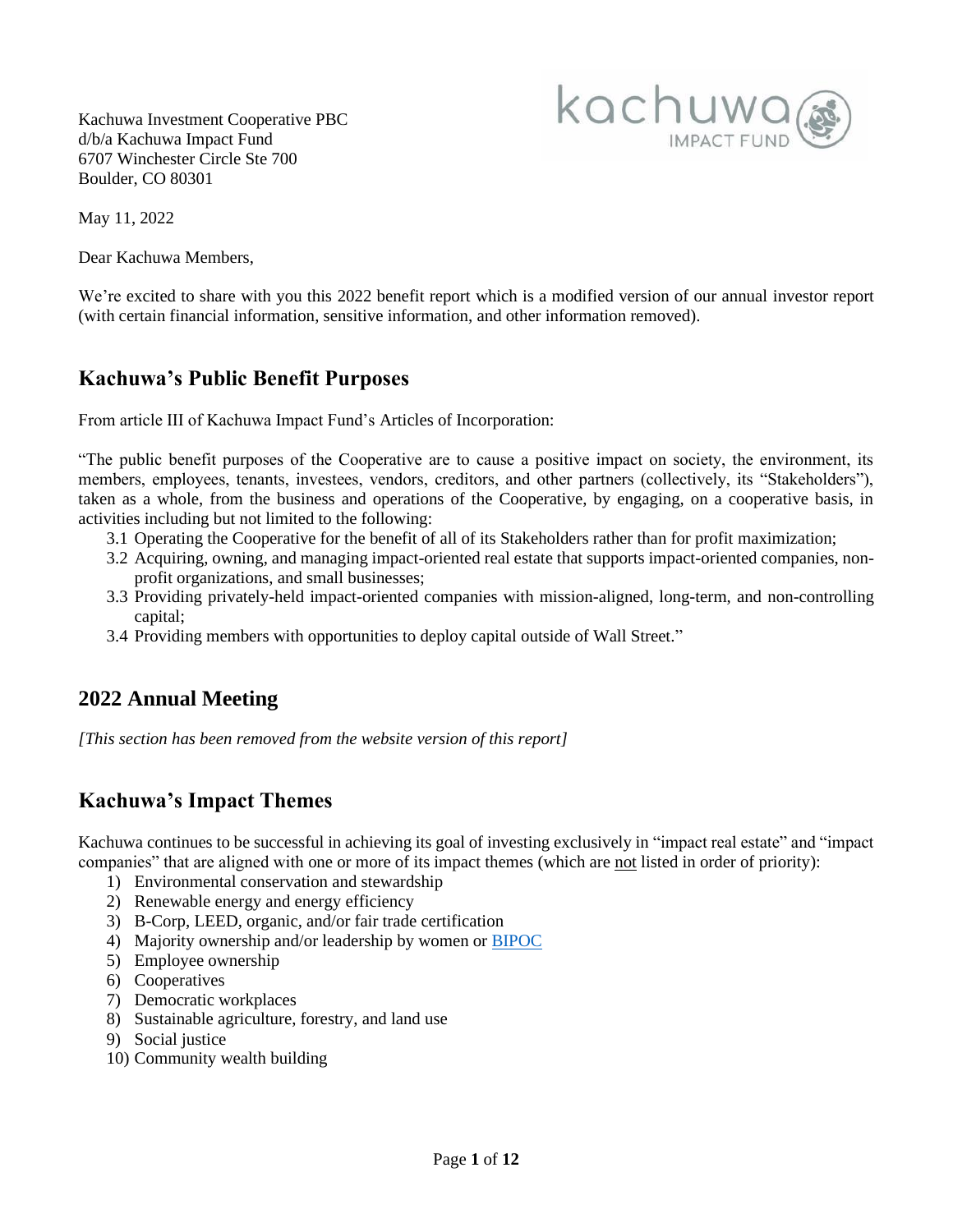Kachuwa Investment Cooperative PBC d/b/a Kachuwa Impact Fund 6707 Winchester Circle Ste 700 Boulder, CO 80301



May 11, 2022

Dear Kachuwa Members,

We're excited to share with you this 2022 benefit report which is a modified version of our annual investor report (with certain financial information, sensitive information, and other information removed).

## **Kachuwa's Public Benefit Purposes**

From article III of Kachuwa Impact Fund's Articles of Incorporation:

"The public benefit purposes of the Cooperative are to cause a positive impact on society, the environment, its members, employees, tenants, investees, vendors, creditors, and other partners (collectively, its "Stakeholders"), taken as a whole, from the business and operations of the Cooperative, by engaging, on a cooperative basis, in activities including but not limited to the following:

- 3.1 Operating the Cooperative for the benefit of all of its Stakeholders rather than for profit maximization;
- 3.2 Acquiring, owning, and managing impact-oriented real estate that supports impact-oriented companies, nonprofit organizations, and small businesses;
- 3.3 Providing privately-held impact-oriented companies with mission-aligned, long-term, and non-controlling capital;
- 3.4 Providing members with opportunities to deploy capital outside of Wall Street."

## **2022 Annual Meeting**

*[This section has been removed from the website version of this report]*

## **Kachuwa's Impact Themes**

Kachuwa continues to be successful in achieving its goal of investing exclusively in "impact real estate" and "impact companies" that are aligned with one or more of its impact themes (which are not listed in order of priority):

- 1) Environmental conservation and stewardship
- 2) Renewable energy and energy efficiency
- 3) B-Corp, LEED, organic, and/or fair trade certification
- 4) Majority ownership and/or leadership by women or [BIPOC](https://www.ywcaworks.org/blogs/ywca/wed-04062022-0913/why-we-use-bipoc)
- 5) Employee ownership
- 6) Cooperatives
- 7) Democratic workplaces
- 8) Sustainable agriculture, forestry, and land use
- 9) Social justice
- 10) Community wealth building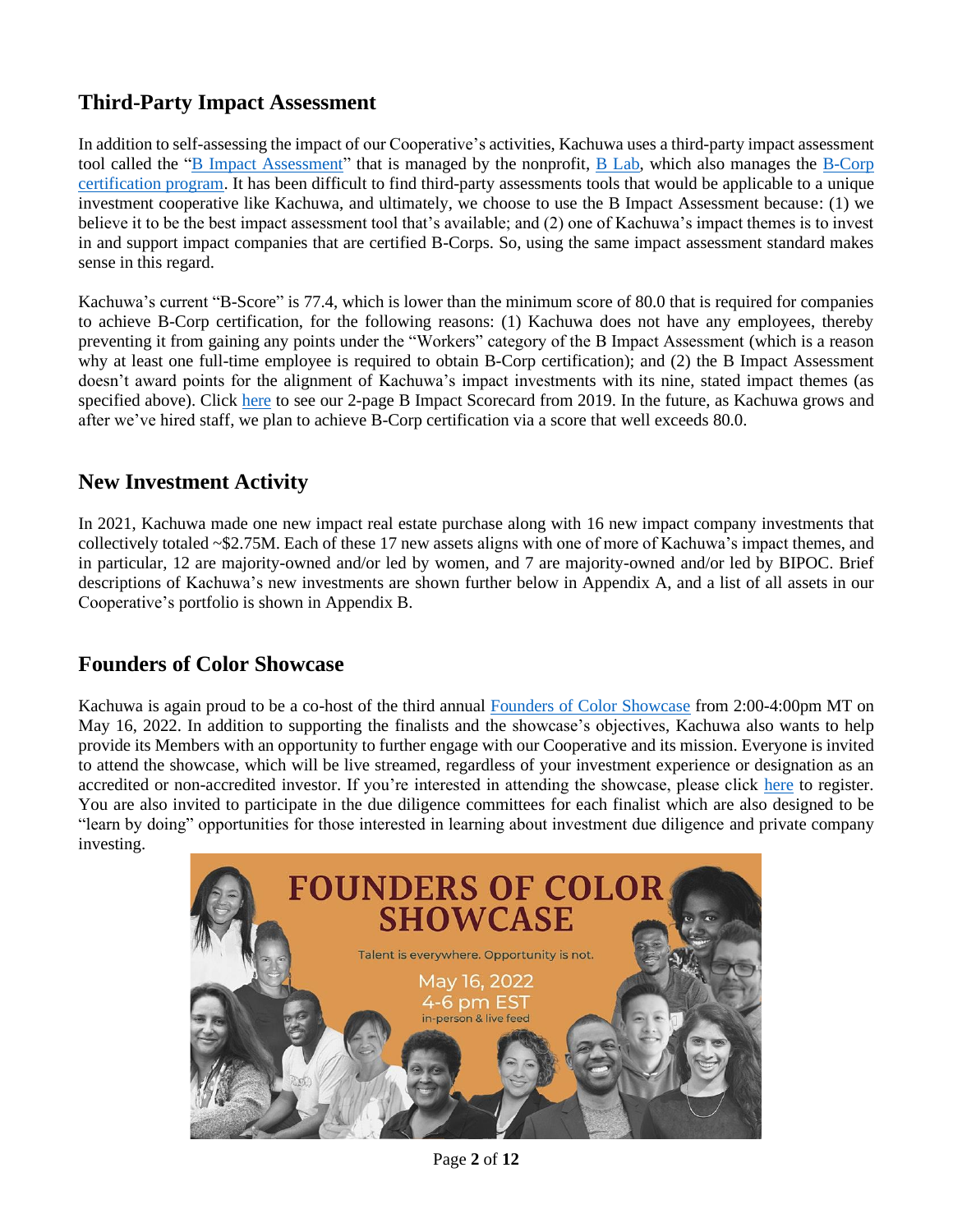## **Third-Party Impact Assessment**

In addition to self-assessing the impact of our Cooperative's activities, Kachuwa uses a third-party impact assessment tool called the " $\underline{B}$  Impact Assessment" that is managed by the nonprofit,  $\underline{B}$  Lab, which also manages the  $\underline{B-Corp}$ [certification program.](https://bcorporation.net/) It has been difficult to find third-party assessments tools that would be applicable to a unique investment cooperative like Kachuwa, and ultimately, we choose to use the B Impact Assessment because: (1) we believe it to be the best impact assessment tool that's available; and (2) one of Kachuwa's impact themes is to invest in and support impact companies that are certified B-Corps. So, using the same impact assessment standard makes sense in this regard.

Kachuwa's current "B-Score" is 77.4, which is lower than the minimum score of 80.0 that is required for companies to achieve B-Corp certification, for the following reasons: (1) Kachuwa does not have any employees, thereby preventing it from gaining any points under the "Workers" category of the B Impact Assessment (which is a reason why at least one full-time employee is required to obtain B-Corp certification); and (2) the B Impact Assessment doesn't award points for the alignment of Kachuwa's impact investments with its nine, stated impact themes (as specified above). Click [here](https://85757f41-65ed-4302-b59e-a7ee75aa51e3.usrfiles.com/ugd/85757f_2be3c7e2500148018a5faa547bf937c6.pdf) to see our 2-page B Impact Scorecard from 2019. In the future, as Kachuwa grows and after we've hired staff, we plan to achieve B-Corp certification via a score that well exceeds 80.0.

## **New Investment Activity**

In 2021, Kachuwa made one new impact real estate purchase along with 16 new impact company investments that collectively totaled ~\$2.75M. Each of these 17 new assets aligns with one of more of Kachuwa's impact themes, and in particular, 12 are majority-owned and/or led by women, and 7 are majority-owned and/or led by BIPOC. Brief descriptions of Kachuwa's new investments are shown further below in Appendix A, and a list of all assets in our Cooperative's portfolio is shown in Appendix B.

## **Founders of Color Showcase**

Kachuwa is again proud to be a co-host of the third annual [Founders of Color Showcase](https://www.foundersofcolorshowcase.com/) from 2:00-4:00pm MT on May 16, 2022. In addition to supporting the finalists and the showcase's objectives, Kachuwa also wants to help provide its Members with an opportunity to further engage with our Cooperative and its mission. Everyone is invited to attend the showcase, which will be live streamed, regardless of your investment experience or designation as an accredited or non-accredited investor. If you're interested in attending the showcase, please click [here](https://www.foundersofcolorshowcase.com/) to register. You are also invited to participate in the due diligence committees for each finalist which are also designed to be "learn by doing" opportunities for those interested in learning about investment due diligence and private company investing.



Page **2** of **12**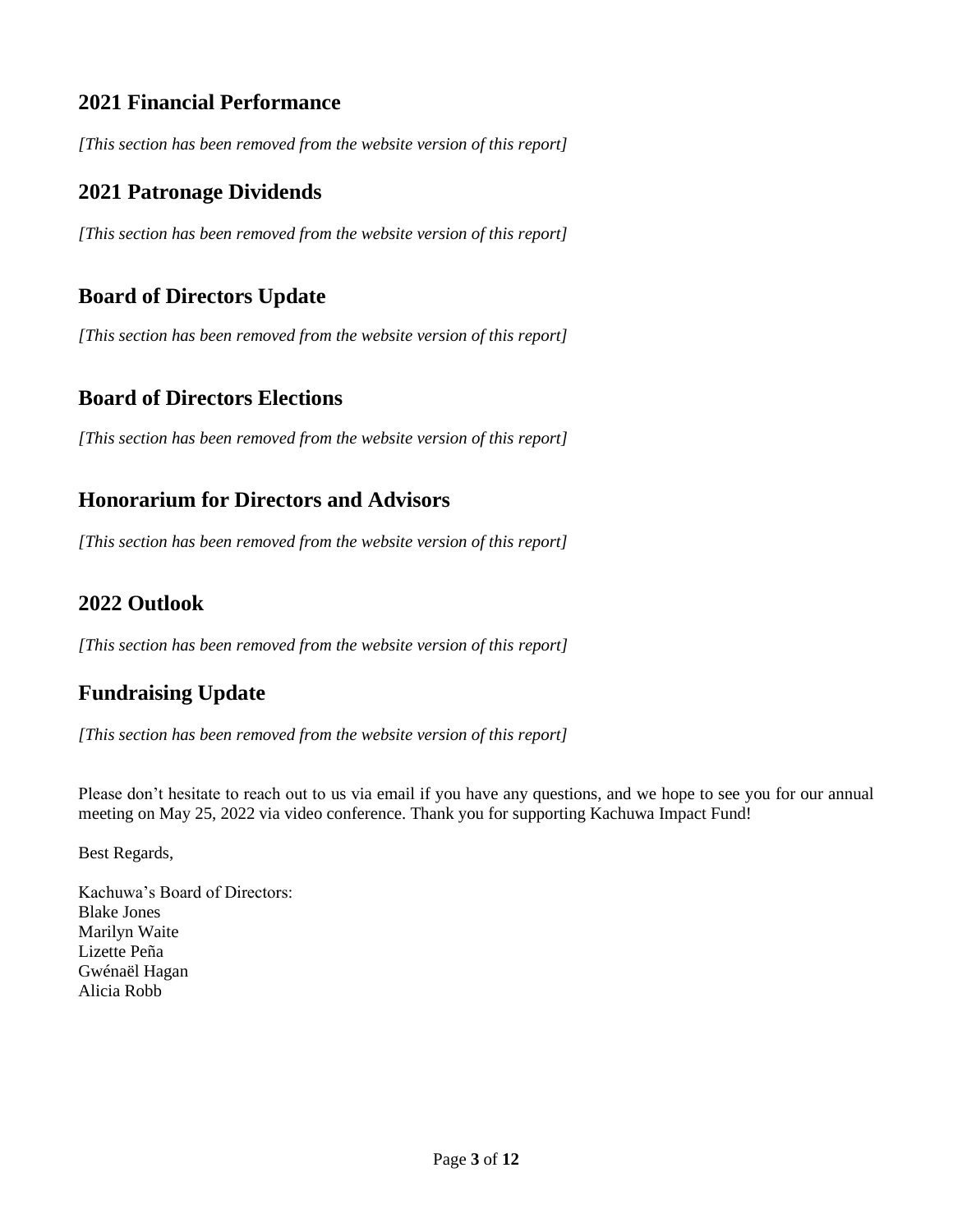## **2021 Financial Performance**

*[This section has been removed from the website version of this report]*

## **2021 Patronage Dividends**

*[This section has been removed from the website version of this report]*

## **Board of Directors Update**

*[This section has been removed from the website version of this report]*

## **Board of Directors Elections**

*[This section has been removed from the website version of this report]*

## **Honorarium for Directors and Advisors**

*[This section has been removed from the website version of this report]*

## **2022 Outlook**

*[This section has been removed from the website version of this report]*

## **Fundraising Update**

*[This section has been removed from the website version of this report]*

Please don't hesitate to reach out to us via email if you have any questions, and we hope to see you for our annual meeting on May 25, 2022 via video conference. Thank you for supporting Kachuwa Impact Fund!

Best Regards,

Kachuwa's Board of Directors: Blake Jones Marilyn Waite Lizette Peña Gwénaël Hagan Alicia Robb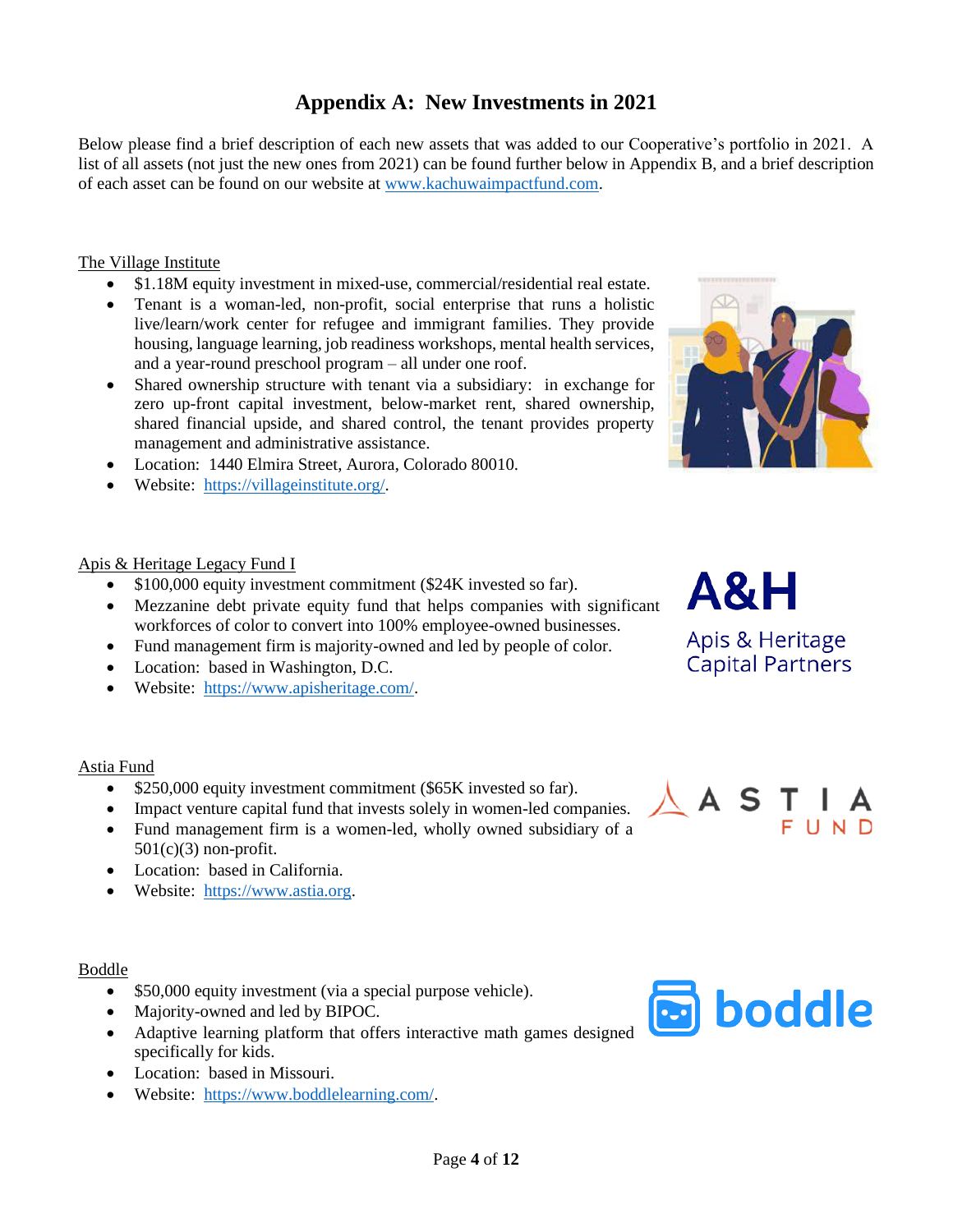## **Appendix A: New Investments in 2021**

Below please find a brief description of each new assets that was added to our Cooperative's portfolio in 2021. A list of all assets (not just the new ones from 2021) can be found further below in Appendix B, and a brief description of each asset can be found on our website at [www.kachuwaimpactfund.com.](http://www.kachuwaimpactfund.com/)

#### The Village Institute

- \$1.18M equity investment in mixed-use, commercial/residential real estate.
- Tenant is a woman-led, non-profit, social enterprise that runs a holistic live/learn/work center for refugee and immigrant families. They provide housing, language learning, job readiness workshops, mental health services, and a year-round preschool program – all under one roof.
- Shared ownership structure with tenant via a subsidiary: in exchange for zero up-front capital investment, below-market rent, shared ownership, shared financial upside, and shared control, the tenant provides property management and administrative assistance.
- Location: 1440 Elmira Street, Aurora, Colorado 80010.
- Website: [https://villageinstitute.org/.](https://villageinstitute.org/)

#### Apis & Heritage Legacy Fund I

- \$100,000 equity investment commitment (\$24K invested so far).
- Mezzanine debt private equity fund that helps companies with significant workforces of color to convert into 100% employee-owned businesses.
- Fund management firm is majority-owned and led by people of color.
- Location: based in Washington, D.C.
- Website: [https://www.apisheritage.com/.](https://www.apisheritage.com/)

#### Astia Fund

- \$250,000 equity investment commitment (\$65K invested so far).
- Impact venture capital fund that invests solely in women-led companies.
- Fund management firm is a women-led, wholly owned subsidiary of a  $501(c)(3)$  non-profit.
- Location: based in California.
- Website: [https://www.astia.org.](https://www.astia.org/)

#### Boddle

- \$50,000 equity investment (via a special purpose vehicle).
- Majority-owned and led by BIPOC.
- Adaptive learning platform that offers interactive math games designed specifically for kids.
- Location: based in Missouri.
- Website: [https://www.boddlelearning.com/.](https://www.boddlelearning.com/)









**Capital Partners** 

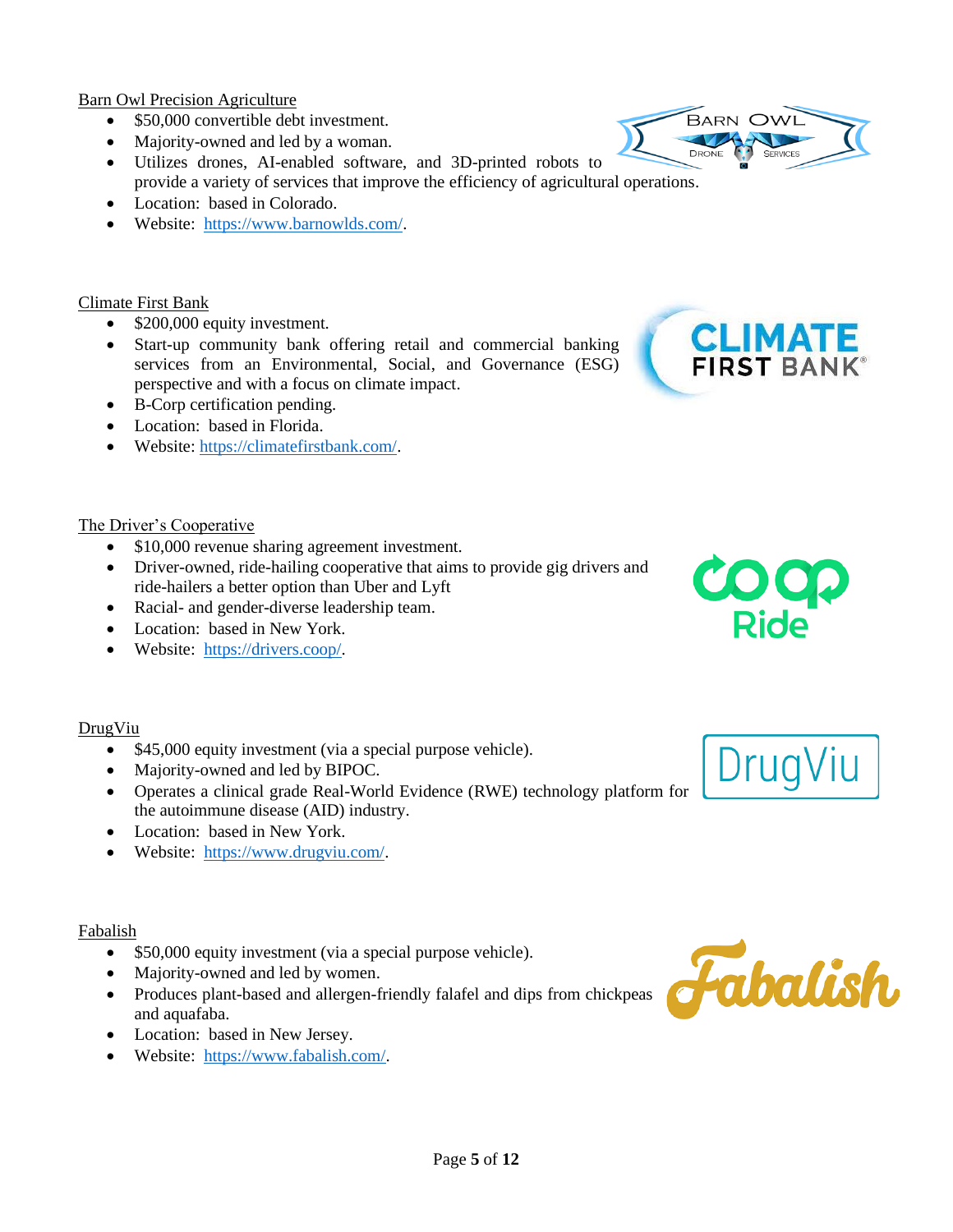Barn Owl Precision Agriculture

- \$50,000 convertible debt investment.
- Majority-owned and led by a woman.
- Utilizes drones, AI-enabled software, and 3D-printed robots to provide a variety of services that improve the efficiency of agricultural operations.
- Location: based in Colorado.
- Website: [https://www.barnowlds.com/.](https://www.barnowlds.com/)

#### Climate First Bank

- \$200,000 equity investment.
- Start-up community bank offering retail and commercial banking services from an Environmental, Social, and Governance (ESG) perspective and with a focus on climate impact.
- B-Corp certification pending.
- Location: based in Florida.
- Website: [https://climatefirstbank.com/.](https://climatefirstbank.com/)

#### The Driver's Cooperative

- \$10,000 revenue sharing agreement investment.
- Driver-owned, ride-hailing cooperative that aims to provide gig drivers and ride-hailers a better option than Uber and Lyft
- Racial- and gender-diverse leadership team.
- Location: based in New York.
- Website: [https://drivers.coop/.](https://drivers.coop/)

#### DrugViu

- \$45,000 equity investment (via a special purpose vehicle).
- Majority-owned and led by BIPOC.
- Operates a clinical grade Real-World Evidence (RWE) technology platform for the autoimmune disease (AID) industry.
- Location: based in New York.
- Website: [https://www.drugviu.com/.](https://www.drugviu.com/)

#### Fabalish

- \$50,000 equity investment (via a special purpose vehicle).
- Majority-owned and led by women.
- Produces plant-based and allergen-friendly falafel and dips from chickpeas and aquafaba.
- Location: based in New Jersey.
- Website: [https://www.fabalish.com/.](https://www.fabalish.com/)







DrugViu

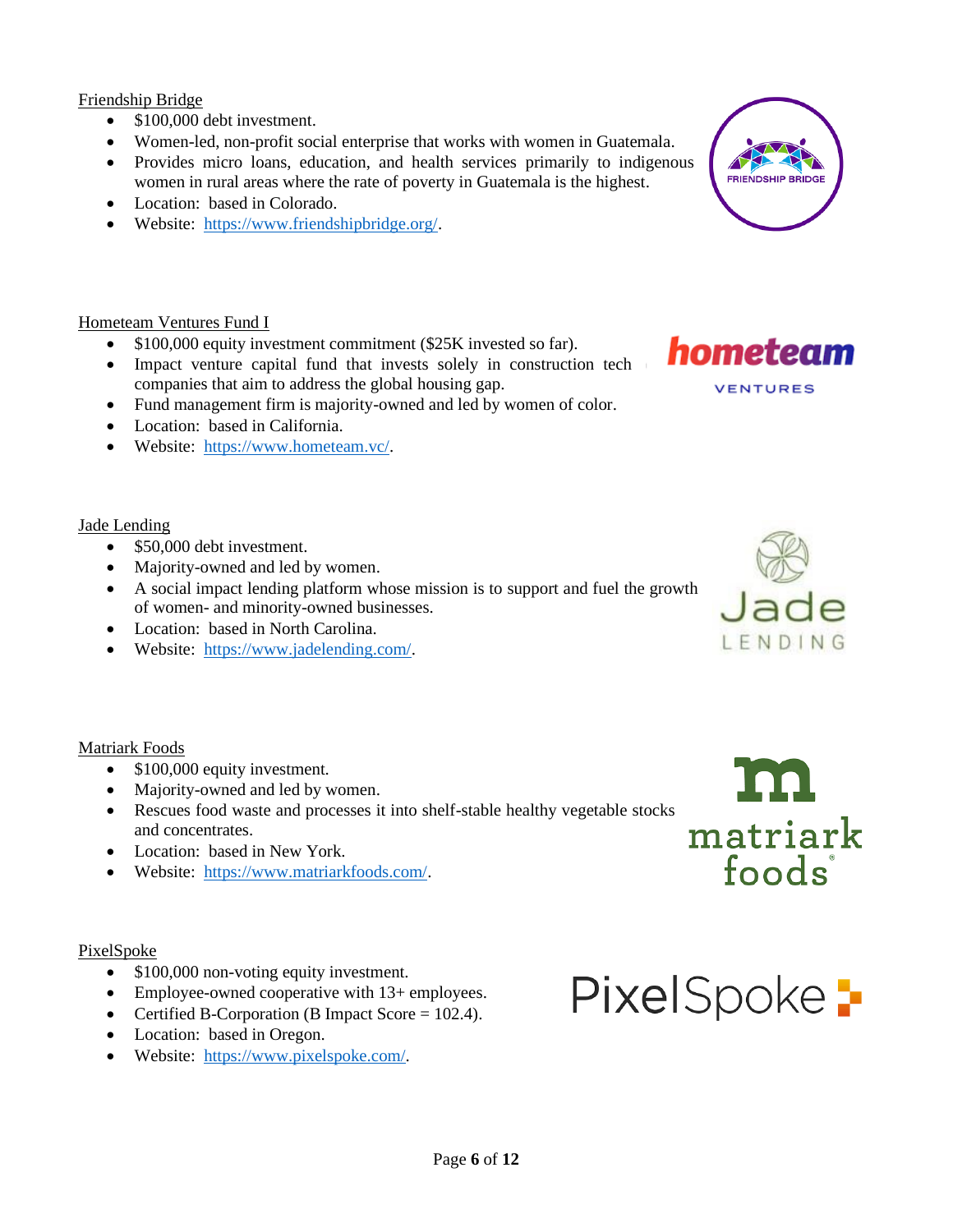#### Friendship Bridge

- \$100,000 debt investment.
- Women-led, non-profit social enterprise that works with women in Guatemala.
- Provides micro loans, education, and health services primarily to indigenous women in rural areas where the rate of poverty in Guatemala is the highest.
- Location: based in Colorado.
- Website: [https://www.friendshipbridge.org/.](https://www.friendshipbridge.org/)

#### Hometeam Ventures Fund I

- \$100,000 equity investment commitment (\$25K invested so far).
- Impact venture capital fund that invests solely in construction tech companies that aim to address the global housing gap.
- Fund management firm is majority-owned and led by women of color.
- Location: based in California.
- Website: [https://www.hometeam.vc/.](https://www.hometeam.vc/)

#### Jade Lending

- \$50,000 debt investment.
- Majority-owned and led by women.
- A social impact lending platform whose mission is to support and fuel the growth of women- and minority-owned businesses.
- Location: based in North Carolina.
- Website: [https://www.jadelending.com/.](https://www.jadelending.com/)

Matriark Foods

- \$100,000 equity investment.
- Majority-owned and led by women.
- Rescues food waste and processes it into shelf-stable healthy vegetable stocks and concentrates.
- Location: based in New York.
- Website: [https://www.matriarkfoods.com/.](https://www.matriarkfoods.com/)

#### PixelSpoke

- \$100,000 non-voting equity investment.
- Employee-owned cooperative with 13+ employees.
- Certified B-Corporation (B Impact Score = 102.4).
- Location: based in Oregon.
- Website: [https://www.pixelspoke.com/.](https://www.pixelspoke.com/)









# PixelSpoke -

- -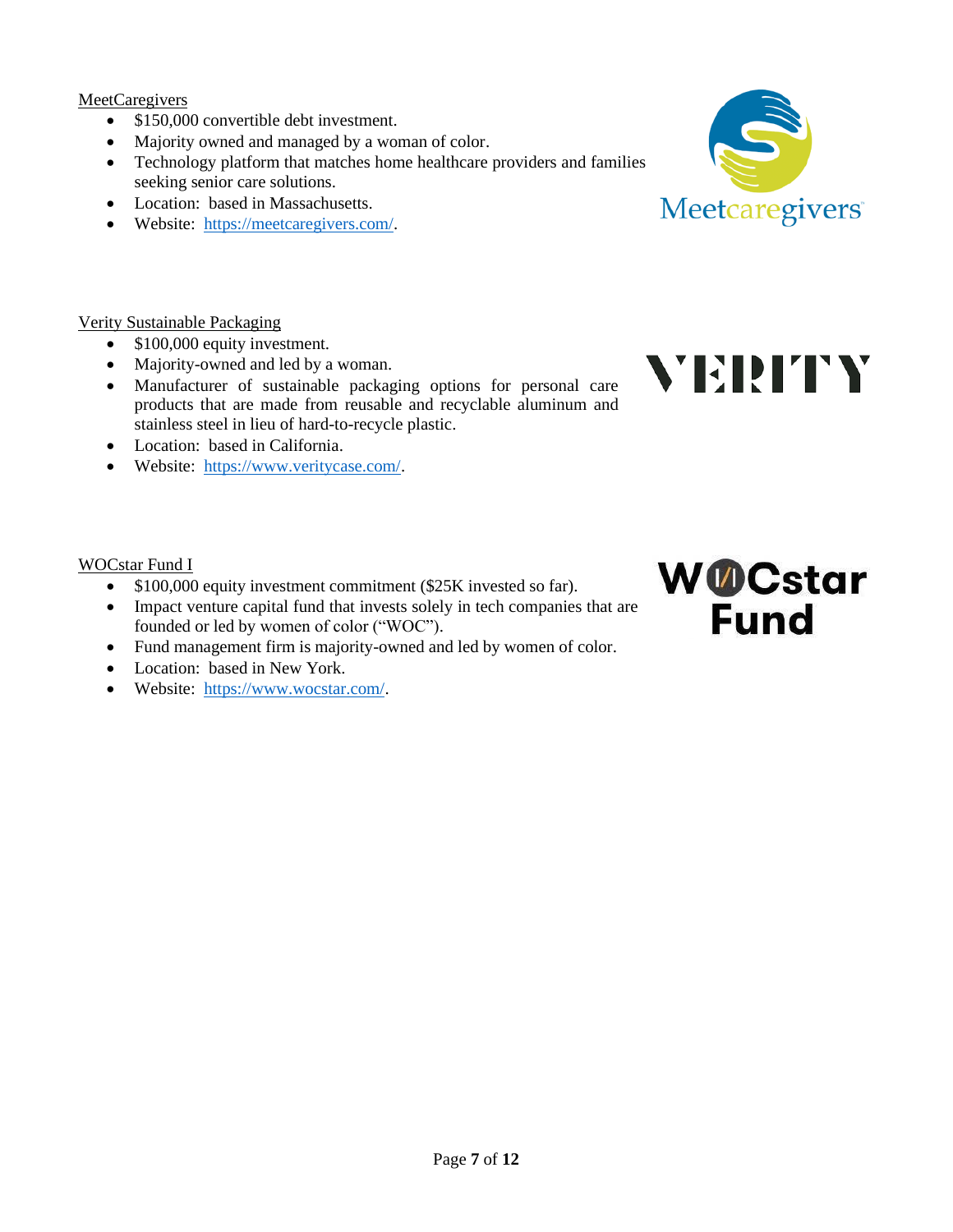**MeetCaregivers** 

- \$150,000 convertible debt investment.
- Majority owned and managed by a woman of color.
- Technology platform that matches home healthcare providers and families seeking senior care solutions.
- Location: based in Massachusetts.
- Website: [https://meetcaregivers.com/.](https://meetcaregivers.com/)

#### Verity Sustainable Packaging

- \$100,000 equity investment.
- Majority-owned and led by a woman.
- Manufacturer of sustainable packaging options for personal care products that are made from reusable and recyclable aluminum and stainless steel in lieu of hard-to-recycle plastic.
- Location: based in California.
- Website: [https://www.veritycase.com/.](https://www.veritycase.com/)

#### WOCstar Fund I

- \$100,000 equity investment commitment (\$25K invested so far).
- Impact venture capital fund that invests solely in tech companies that are founded or led by women of color ("WOC").
- Fund management firm is majority-owned and led by women of color.
- Location: based in New York.
- Website: [https://www.wocstar.com/.](https://www.wocstar.com/)





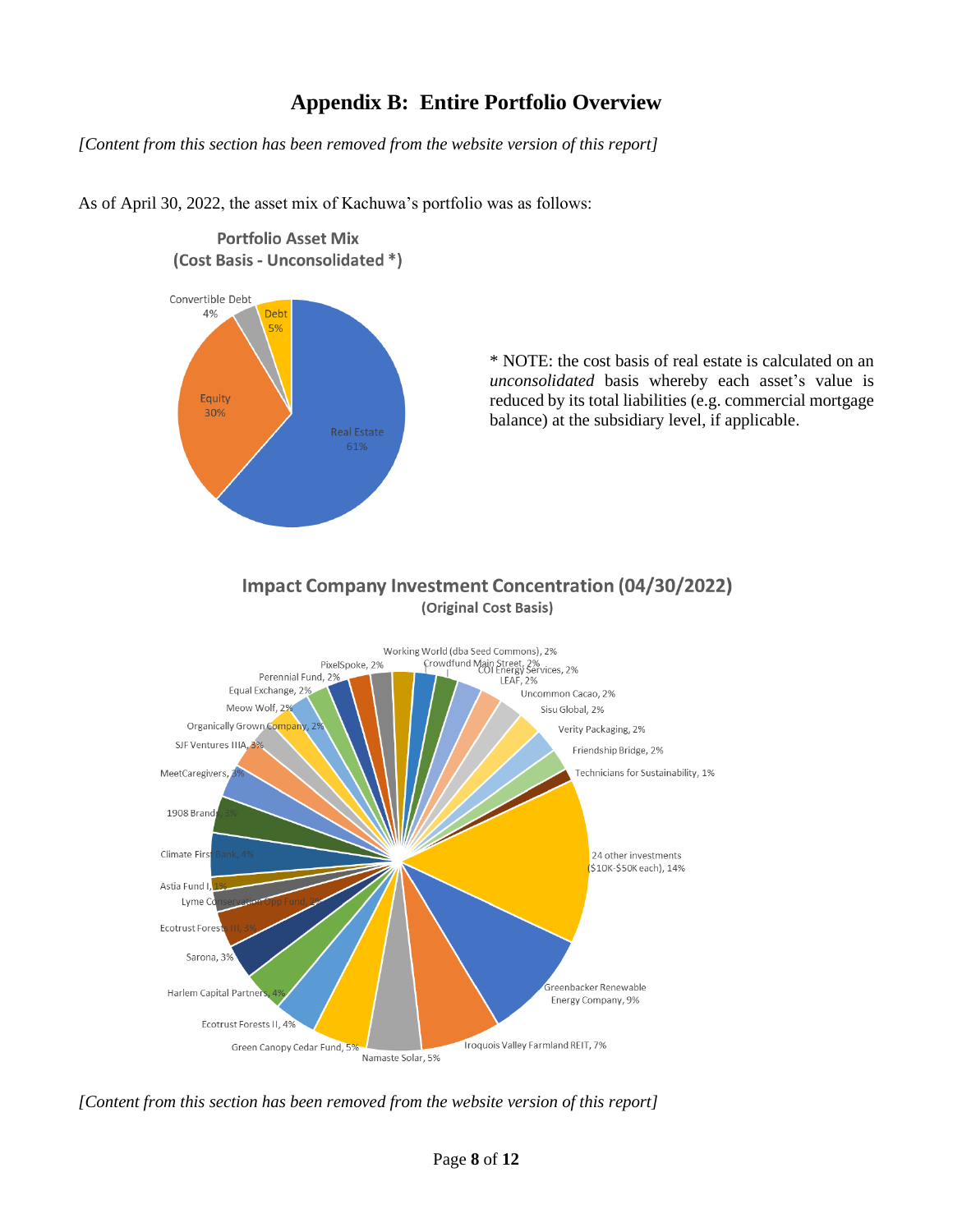## **Appendix B: Entire Portfolio Overview**

*[Content from this section has been removed from the website version of this report]*

As of April 30, 2022, the asset mix of Kachuwa's portfolio was as follows:



**Portfolio Asset Mix** 

\* NOTE: the cost basis of real estate is calculated on an *unconsolidated* basis whereby each asset's value is reduced by its total liabilities (e.g. commercial mortgage balance) at the subsidiary level, if applicable.

#### **Impact Company Investment Concentration (04/30/2022)** (Original Cost Basis)



*[Content from this section has been removed from the website version of this report]*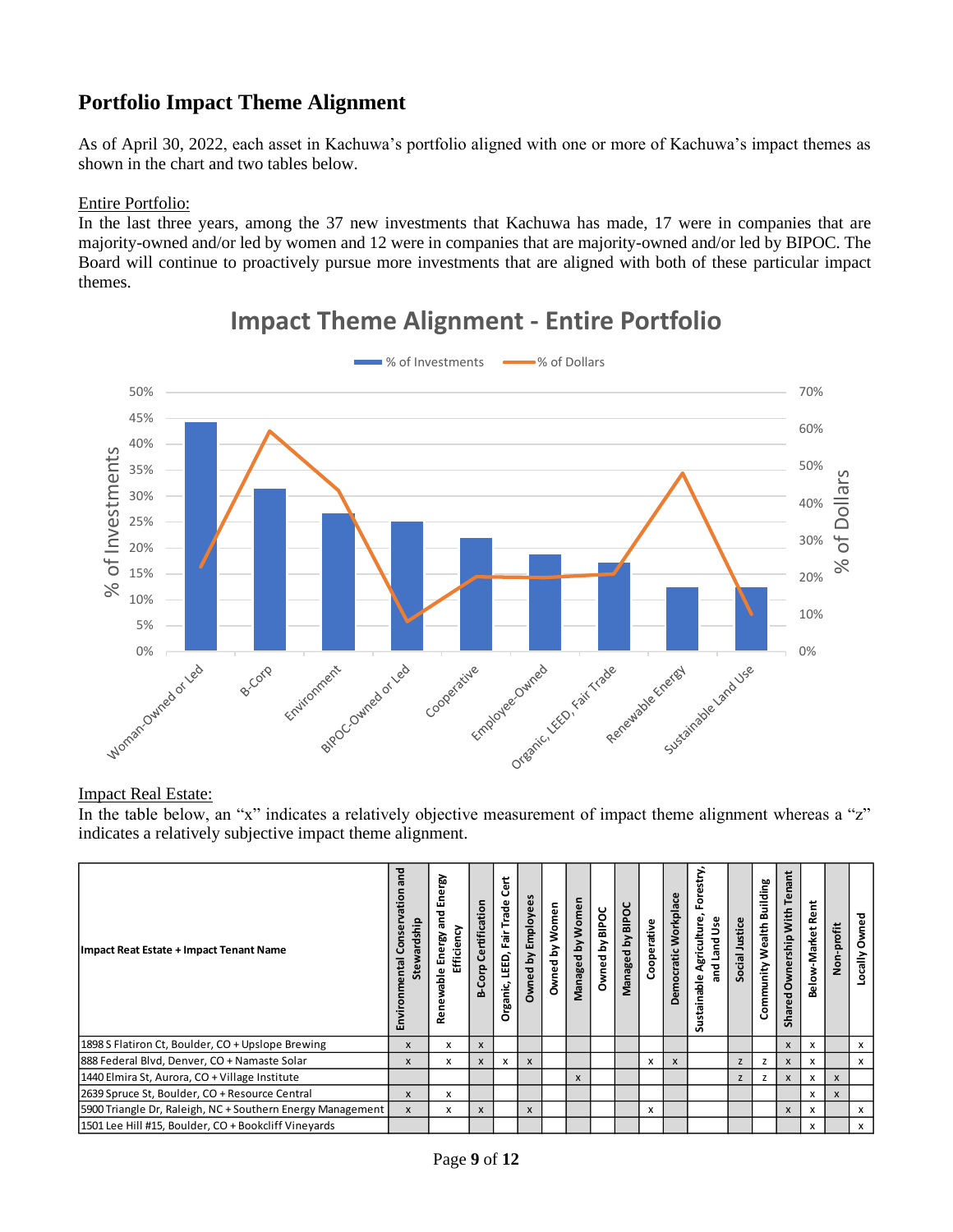## **Portfolio Impact Theme Alignment**

As of April 30, 2022, each asset in Kachuwa's portfolio aligned with one or more of Kachuwa's impact themes as shown in the chart and two tables below.

#### Entire Portfolio:

In the last three years, among the 37 new investments that Kachuwa has made, 17 were in companies that are majority-owned and/or led by women and 12 were in companies that are majority-owned and/or led by BIPOC. The Board will continue to proactively pursue more investments that are aligned with both of these particular impact themes.



## **Impact Theme Alignment - Entire Portfolio**

#### Impact Real Estate:

In the table below, an "x" indicates a relatively objective measurement of impact theme alignment whereas a "z" indicates a relatively subjective impact theme alignment.

| Impact Reat Estate + Impact Tenant Name                    | and<br>nation<br>Stewardship<br>onse<br>Environmental | and Energy<br>ટ<br>Energy<br>fficien<br>Renewable | Corp Certification<br>ക് | <b>Cert</b><br>rganic, LEED, Fair Trade<br>o | <b>Dwned by Employees</b> | Women<br>ă<br><b>Dwned</b> | Managed by Women | Owned by BIPOC | Managed by BIPOC | Cooperative | Democratic Workplace | stry,<br>등<br>ш.<br>Agriculture<br>Jse<br>Land<br>$\overline{a}$<br>ەل<br>stainat<br>ã | Social Justice | Community Wealth Building | Ë<br><b>G</b><br>$\omega$<br>۴<br>rship With<br>Owner<br>ᅙ<br>ၑ<br>Sha | έũ<br>∝<br>Below-Market | <b>Von-profit</b> | Owned<br>Locally |
|------------------------------------------------------------|-------------------------------------------------------|---------------------------------------------------|--------------------------|----------------------------------------------|---------------------------|----------------------------|------------------|----------------|------------------|-------------|----------------------|----------------------------------------------------------------------------------------|----------------|---------------------------|------------------------------------------------------------------------|-------------------------|-------------------|------------------|
| 1898 S Flatiron Ct, Boulder, CO + Upslope Brewing          | X                                                     | x                                                 | X                        |                                              |                           |                            |                  |                |                  |             |                      |                                                                                        |                |                           | X                                                                      | x                       |                   | x                |
| 888 Federal Blvd, Denver, CO + Namaste Solar               | X                                                     | x                                                 | X                        | x                                            | X                         |                            |                  |                |                  | x           | X                    |                                                                                        | z              | z                         | X                                                                      | x                       |                   | x                |
| 1440 Elmira St, Aurora, CO + Village Institute             |                                                       |                                                   |                          |                                              |                           |                            | X                |                |                  |             |                      |                                                                                        | z              | z                         | X                                                                      | x                       | $\mathsf{x}$      |                  |
| 2639 Spruce St, Boulder, CO + Resource Central             | X                                                     | x                                                 |                          |                                              |                           |                            |                  |                |                  |             |                      |                                                                                        |                |                           |                                                                        | x                       | X                 |                  |
| 5900 Triangle Dr, Raleigh, NC + Southern Energy Management | X                                                     | x                                                 | X                        |                                              | X                         |                            |                  |                |                  | x           |                      |                                                                                        |                |                           | X                                                                      | x                       |                   | x                |
| 1501 Lee Hill #15, Boulder, CO + Bookcliff Vineyards       |                                                       |                                                   |                          |                                              |                           |                            |                  |                |                  |             |                      |                                                                                        |                |                           |                                                                        | x                       |                   | x                |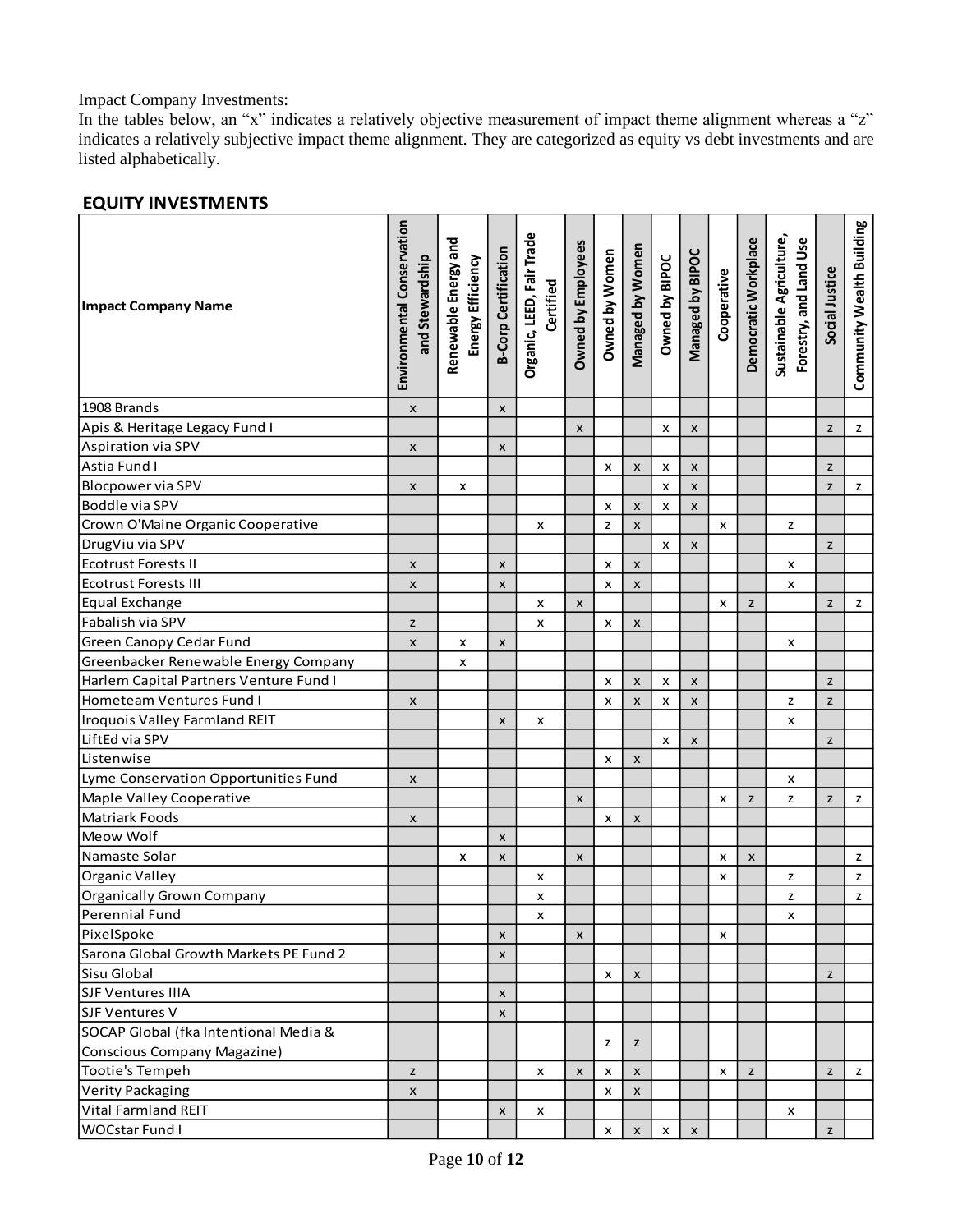#### Impact Company Investments:

In the tables below, an "x" indicates a relatively objective measurement of impact theme alignment whereas a "z" indicates a relatively subjective impact theme alignment. They are categorized as equity vs debt investments and are listed alphabetically.

| <b>Impact Company Name</b>             | Environmental Conservation<br>and Stewardship | Renewable Energy and<br>Energy Efficiency | <b>B-Corp Certification</b> | Organic, LEED, Fair Trade<br>Certified | Owned by Employees | Owned by Women | Managed by Women   | Owned by BIPOC | Managed by BIPOC | Cooperative | Democratic Workplace | Sustainable Agriculture,<br>Forestry, and Land Use | Social Justice | Community Wealth Building |
|----------------------------------------|-----------------------------------------------|-------------------------------------------|-----------------------------|----------------------------------------|--------------------|----------------|--------------------|----------------|------------------|-------------|----------------------|----------------------------------------------------|----------------|---------------------------|
|                                        |                                               |                                           |                             |                                        |                    |                |                    |                |                  |             |                      |                                                    |                |                           |
| 1908 Brands                            | X                                             |                                           | X                           |                                        |                    |                |                    |                |                  |             |                      |                                                    |                |                           |
| Apis & Heritage Legacy Fund I          |                                               |                                           |                             |                                        | X                  |                |                    | X              | $\pmb{\times}$   |             |                      |                                                    | z              | z                         |
| Aspiration via SPV                     | X                                             |                                           | $\pmb{\mathsf{x}}$          |                                        |                    |                |                    |                |                  |             |                      |                                                    |                |                           |
| Astia Fund I                           |                                               |                                           |                             |                                        |                    | x              | X                  | x              | X                |             |                      |                                                    | z              |                           |
| <b>Blocpower via SPV</b>               | X                                             | x                                         |                             |                                        |                    |                |                    | x              | $\pmb{\times}$   |             |                      |                                                    | z              | $\mathsf{z}$              |
| Boddle via SPV                         |                                               |                                           |                             |                                        |                    | x              | $\pmb{\times}$     | x              | $\pmb{\times}$   |             |                      |                                                    |                |                           |
| Crown O'Maine Organic Cooperative      |                                               |                                           |                             | x                                      |                    | z              | $\pmb{\times}$     |                |                  | x           |                      | z                                                  |                |                           |
| DrugViu via SPV                        |                                               |                                           |                             |                                        |                    |                |                    | x              | $\pmb{\times}$   |             |                      |                                                    | z              |                           |
| <b>Ecotrust Forests II</b>             | X                                             |                                           | X                           |                                        |                    | x              | $\pmb{\times}$     |                |                  |             |                      | x                                                  |                |                           |
| Ecotrust Forests III                   | X                                             |                                           | $\pmb{\times}$              |                                        |                    | x              | $\pmb{\times}$     |                |                  |             |                      | x                                                  |                |                           |
| Equal Exchange                         |                                               |                                           |                             | x                                      | X                  |                |                    |                |                  | x           | z                    |                                                    | z              | z                         |
| Fabalish via SPV                       | z                                             |                                           |                             | x                                      |                    | x              | $\pmb{\times}$     |                |                  |             |                      |                                                    |                |                           |
| <b>Green Canopy Cedar Fund</b>         | X                                             | x                                         | X                           |                                        |                    |                |                    |                |                  |             |                      | x                                                  |                |                           |
| Greenbacker Renewable Energy Company   |                                               | x                                         |                             |                                        |                    |                |                    |                |                  |             |                      |                                                    |                |                           |
| Harlem Capital Partners Venture Fund I |                                               |                                           |                             |                                        |                    | x              | X                  | x              | X                |             |                      |                                                    | z              |                           |
| Hometeam Ventures Fund I               | X                                             |                                           |                             |                                        |                    | X              | X                  | x              | $\pmb{\times}$   |             |                      | z                                                  | z              |                           |
| <b>Iroquois Valley Farmland REIT</b>   |                                               |                                           | $\pmb{\times}$              | x                                      |                    |                |                    |                |                  |             |                      | x                                                  |                |                           |
| LiftEd via SPV                         |                                               |                                           |                             |                                        |                    |                |                    | x              | X                |             |                      |                                                    | z              |                           |
| Listenwise                             |                                               |                                           |                             |                                        |                    | x              | $\pmb{\mathsf{x}}$ |                |                  |             |                      |                                                    |                |                           |
| Lyme Conservation Opportunities Fund   | X                                             |                                           |                             |                                        |                    |                |                    |                |                  |             |                      | x                                                  |                |                           |
| Maple Valley Cooperative               |                                               |                                           |                             |                                        | X                  |                |                    |                |                  | x           | z                    | z                                                  | z              | z                         |
| Matriark Foods                         | X                                             |                                           |                             |                                        |                    | X              | X                  |                |                  |             |                      |                                                    |                |                           |
| Meow Wolf                              |                                               |                                           | X                           |                                        |                    |                |                    |                |                  |             |                      |                                                    |                |                           |
| Namaste Solar                          |                                               | x                                         | X                           |                                        | X                  |                |                    |                |                  | x           | X                    |                                                    |                | z                         |
| Organic Valley                         |                                               |                                           |                             | x                                      |                    |                |                    |                |                  | x           |                      | z                                                  |                | $\mathsf z$               |
| Organically Grown Company              |                                               |                                           |                             | x                                      |                    |                |                    |                |                  |             |                      | z                                                  |                | z                         |
| Perennial Fund                         |                                               |                                           |                             | x                                      |                    |                |                    |                |                  |             |                      | x                                                  |                |                           |
| PixelSpoke                             |                                               |                                           | X                           |                                        | X                  |                |                    |                |                  | x           |                      |                                                    |                |                           |
| Sarona Global Growth Markets PE Fund 2 |                                               |                                           | X                           |                                        |                    |                |                    |                |                  |             |                      |                                                    |                |                           |
| Sisu Global                            |                                               |                                           |                             |                                        |                    | x              | X                  |                |                  |             |                      |                                                    | z              |                           |
| SJF Ventures IIIA                      |                                               |                                           | X                           |                                        |                    |                |                    |                |                  |             |                      |                                                    |                |                           |
| SJF Ventures V                         |                                               |                                           | X                           |                                        |                    |                |                    |                |                  |             |                      |                                                    |                |                           |
| SOCAP Global (fka Intentional Media &  |                                               |                                           |                             |                                        |                    |                |                    |                |                  |             |                      |                                                    |                |                           |
| Conscious Company Magazine)            |                                               |                                           |                             |                                        |                    | z              | z                  |                |                  |             |                      |                                                    |                |                           |
| Tootie's Tempeh                        | z                                             |                                           |                             | x                                      | X                  | x              | X                  |                |                  | x           | z                    |                                                    | z              | z                         |
| Verity Packaging                       | X                                             |                                           |                             |                                        |                    | х              | X                  |                |                  |             |                      |                                                    |                |                           |
| Vital Farmland REIT                    |                                               |                                           | x                           | x                                      |                    |                |                    |                |                  |             |                      | x                                                  |                |                           |
| WOCstar Fund I                         |                                               |                                           |                             |                                        |                    |                |                    |                |                  |             |                      |                                                    |                |                           |

#### **EQUITY INVESTMENTS**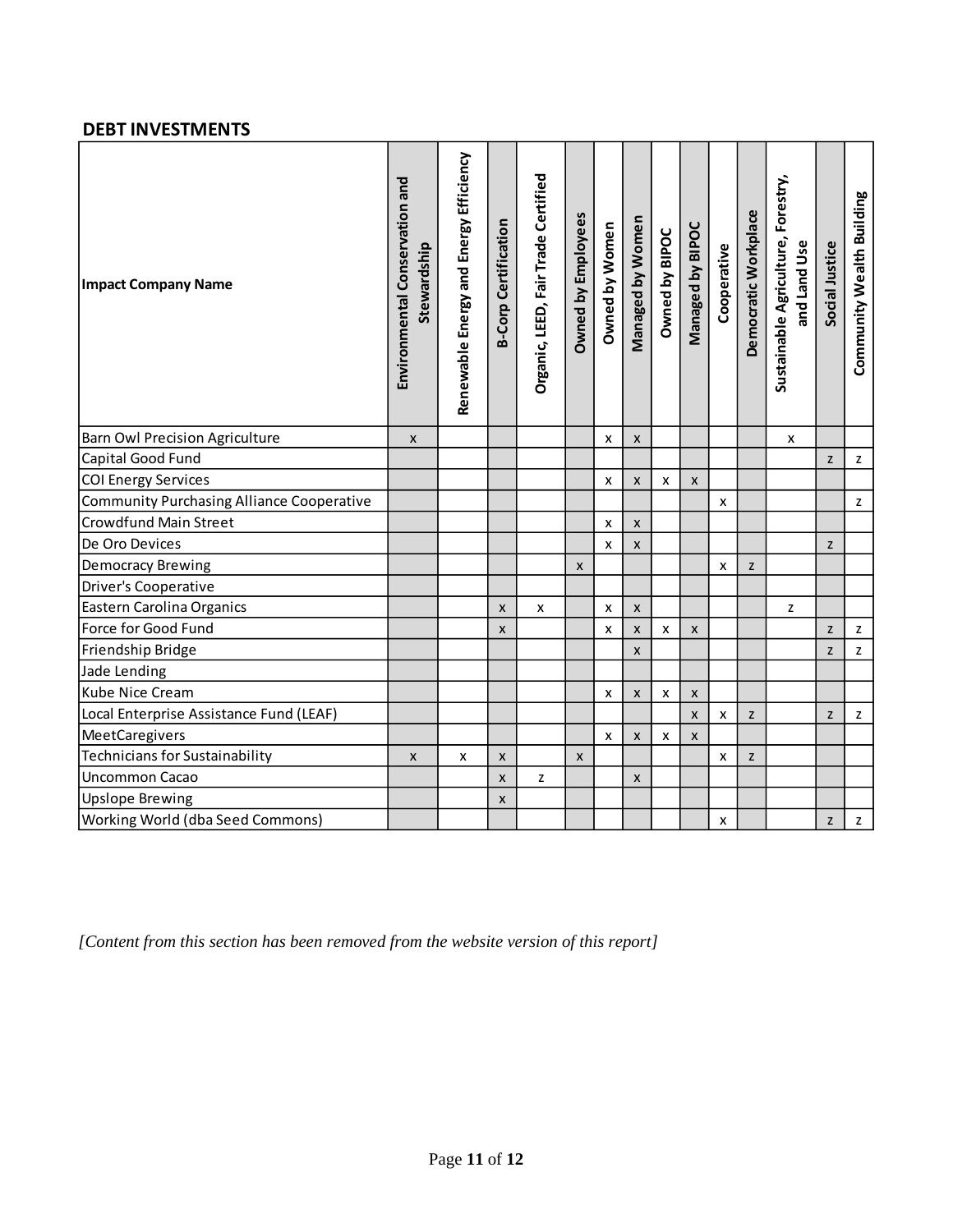#### **DEBT INVESTMENTS**

| <b>Impact Company Name</b>                       | Environmental Conservation and<br>Stewardship | Renewable Energy and Energy Efficiency | <b>B-Corp Certification</b> | Organic, LEED, Fair Trade Certified | <b>Dwned by Employees</b> | Owned by Women | Managed by Women          | Owned by BIPOC | Managed by BIPOC   | Cooperative | Democratic Workplace | Sustainable Agriculture, Forestry,<br>and Land Use | Social Justice | Community Wealth Building                                                             |
|--------------------------------------------------|-----------------------------------------------|----------------------------------------|-----------------------------|-------------------------------------|---------------------------|----------------|---------------------------|----------------|--------------------|-------------|----------------------|----------------------------------------------------|----------------|---------------------------------------------------------------------------------------|
| <b>Barn Owl Precision Agriculture</b>            | X                                             |                                        |                             |                                     |                           | x              | X                         |                |                    |             |                      | X                                                  |                |                                                                                       |
| Capital Good Fund                                |                                               |                                        |                             |                                     |                           |                |                           |                |                    |             |                      |                                                    | z              | z                                                                                     |
| <b>COI Energy Services</b>                       |                                               |                                        |                             |                                     |                           | x              | $\pmb{\mathsf{X}}$        | $\pmb{\times}$ | $\pmb{\mathsf{x}}$ |             |                      |                                                    |                |                                                                                       |
| <b>Community Purchasing Alliance Cooperative</b> |                                               |                                        |                             |                                     |                           |                |                           |                |                    | X           |                      |                                                    |                | z                                                                                     |
| <b>Crowdfund Main Street</b>                     |                                               |                                        |                             |                                     |                           | x              | $\pmb{\times}$            |                |                    |             |                      |                                                    |                |                                                                                       |
| De Oro Devices                                   |                                               |                                        |                             |                                     |                           | x              | X                         |                |                    |             |                      |                                                    | z              |                                                                                       |
| <b>Democracy Brewing</b>                         |                                               |                                        |                             |                                     | $\mathsf{x}$              |                |                           |                |                    | X           | Z                    |                                                    |                |                                                                                       |
| Driver's Cooperative                             |                                               |                                        |                             |                                     |                           |                |                           |                |                    |             |                      |                                                    |                |                                                                                       |
| Eastern Carolina Organics                        |                                               |                                        | $\boldsymbol{x}$            | $\pmb{\times}$                      |                           | x              | $\pmb{\times}$            |                |                    |             |                      | z                                                  |                |                                                                                       |
| Force for Good Fund                              |                                               |                                        | $\mathsf{x}$                |                                     |                           | x              | $\boldsymbol{\mathsf{x}}$ | $\pmb{\times}$ | $\pmb{\times}$     |             |                      |                                                    | z              | z                                                                                     |
| Friendship Bridge                                |                                               |                                        |                             |                                     |                           |                | X                         |                |                    |             |                      |                                                    | $\mathsf Z$    | z                                                                                     |
| Jade Lending                                     |                                               |                                        |                             |                                     |                           |                |                           |                |                    |             |                      |                                                    |                |                                                                                       |
| Kube Nice Cream                                  |                                               |                                        |                             |                                     |                           | x              | $\pmb{\times}$            | $\pmb{\times}$ | X                  |             |                      |                                                    |                |                                                                                       |
| Local Enterprise Assistance Fund (LEAF)          |                                               |                                        |                             |                                     |                           |                |                           |                | X                  | x           | z                    |                                                    | z              | z                                                                                     |
| MeetCaregivers                                   |                                               |                                        |                             |                                     |                           | X              | X                         | X              | $\pmb{\mathsf{x}}$ |             |                      |                                                    |                |                                                                                       |
| <b>Technicians for Sustainability</b>            | X                                             | x                                      | $\boldsymbol{x}$            |                                     | $\boldsymbol{x}$          |                |                           |                |                    | x           | z                    |                                                    |                |                                                                                       |
| <b>Uncommon Cacao</b>                            |                                               |                                        | $\pmb{\times}$              | z                                   |                           |                | X                         |                |                    |             |                      |                                                    |                |                                                                                       |
| <b>Upslope Brewing</b>                           |                                               |                                        | X                           |                                     |                           |                |                           |                |                    |             |                      |                                                    |                |                                                                                       |
| Working World (dba Seed Commons)                 |                                               |                                        |                             |                                     |                           |                |                           |                |                    | X           |                      |                                                    | $\mathsf Z$    | $\mathsf{Z}% _{T}=\mathsf{Z}_{T}\!\left( a,b\right) ,\ \mathsf{Z}_{T}=\mathsf{Z}_{T}$ |

*[Content from this section has been removed from the website version of this report]*